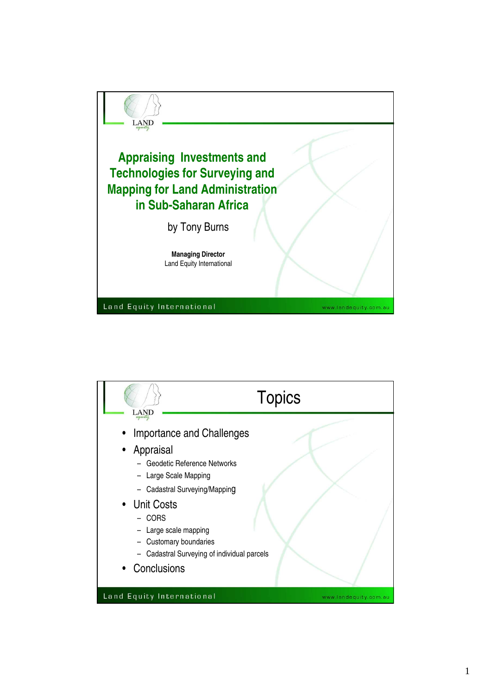

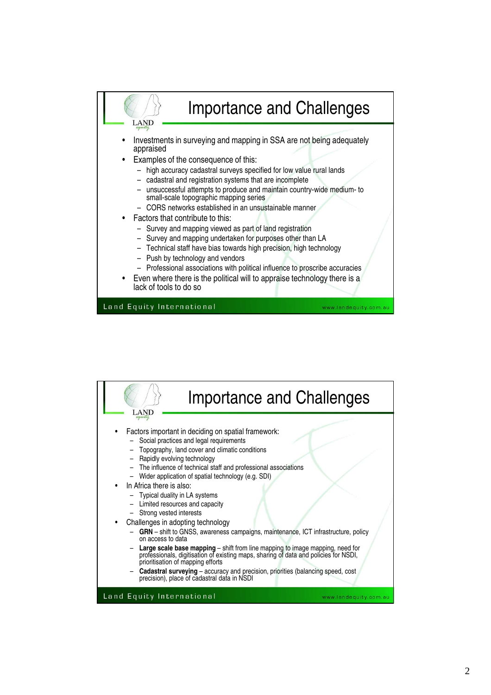

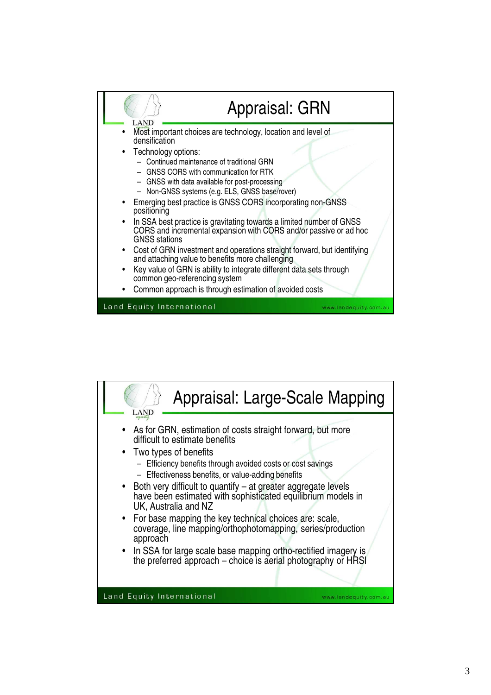

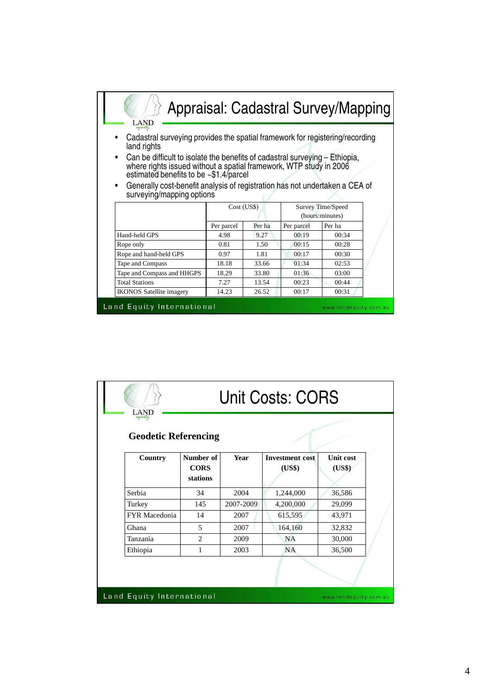| LAND                                                                                                                                                                                                                                                                                                                                                                                                        |                                                     |        |            | Appraisal: Cadastral Survey/Mapping |  |  |  |
|-------------------------------------------------------------------------------------------------------------------------------------------------------------------------------------------------------------------------------------------------------------------------------------------------------------------------------------------------------------------------------------------------------------|-----------------------------------------------------|--------|------------|-------------------------------------|--|--|--|
| Cadastral surveying provides the spatial framework for registering/recording<br>land rights<br>Can be difficult to isolate the benefits of cadastral surveying – Ethiopia,<br>where rights issued without a spatial framework, WTP study in 2006<br>estimated benefits to be ~\$1.4/parcel<br>Generally cost-benefit analysis of registration has not undertaken a CEA of<br>٠<br>surveying/mapping options |                                                     |        |            |                                     |  |  |  |
|                                                                                                                                                                                                                                                                                                                                                                                                             | Survey Time/Speed<br>Cost (US\$)<br>(hours:minutes) |        |            |                                     |  |  |  |
|                                                                                                                                                                                                                                                                                                                                                                                                             | Per parcel                                          | Per ha | Per parcel | Per ha                              |  |  |  |
| Hand-held GPS                                                                                                                                                                                                                                                                                                                                                                                               | 4.98                                                | 9.27   | 00:19      | 00:34                               |  |  |  |
| Rope only                                                                                                                                                                                                                                                                                                                                                                                                   | 00:28<br>0.81<br>1.50<br>00:15                      |        |            |                                     |  |  |  |
| Rope and hand-held GPS                                                                                                                                                                                                                                                                                                                                                                                      | 0.97<br>1.81<br>00:17<br>00:30                      |        |            |                                     |  |  |  |
| Tape and Compass                                                                                                                                                                                                                                                                                                                                                                                            | 02:53<br>18.18<br>33.66<br>01:34                    |        |            |                                     |  |  |  |
| Tape and Compass and HHGPS<br>33.80<br>01:36<br>03:00<br>18.29                                                                                                                                                                                                                                                                                                                                              |                                                     |        |            |                                     |  |  |  |
| <b>Total Stations</b>                                                                                                                                                                                                                                                                                                                                                                                       | 7.27                                                | 13.54  | 00:23      | 00:44                               |  |  |  |
| <b>IKONOS</b> Satellite imagery                                                                                                                                                                                                                                                                                                                                                                             | 14.23                                               | 26.52  | 00:17      | 00:31                               |  |  |  |
| Land Equity International<br>www.landequity.com.au                                                                                                                                                                                                                                                                                                                                                          |                                                     |        |            |                                     |  |  |  |

| <b>AND</b><br>equity                   |                                      |             | Unit Costs: CORS                 |                            |
|----------------------------------------|--------------------------------------|-------------|----------------------------------|----------------------------|
| <b>Geodetic Referencing</b><br>Country | Number of<br><b>CORS</b><br>stations | <b>Year</b> | <b>Investment</b> cost<br>(US\$) | <b>Unit cost</b><br>(US\$) |
| Serbia                                 | 34                                   | 2004        | 1,244,000                        | 36,586                     |
| Turkey                                 | 145                                  | 2007-2009   | 4,200,000                        | 29,099                     |
| FYR Macedonia                          | 14                                   | 2007        | 615,595                          | 43,971                     |
| Ghana                                  | 5                                    | 2007        | 164,160                          | 32,832                     |
| Tanzania                               | $\overline{2}$                       | 2009        | <b>NA</b>                        | 30,000                     |
|                                        | 1                                    | 2003        | <b>NA</b>                        | 36,500                     |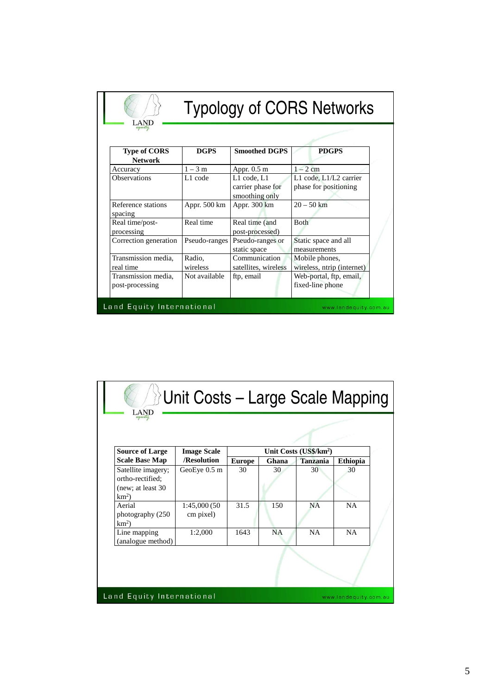| <b>AND</b>                                         | <b>Typology of CORS Networks</b> |                                                    |                                                 |  |  |
|----------------------------------------------------|----------------------------------|----------------------------------------------------|-------------------------------------------------|--|--|
| <b>Type of CORS</b>                                | <b>DGPS</b>                      | <b>Smoothed DGPS</b>                               | <b>PDGPS</b>                                    |  |  |
| <b>Network</b>                                     |                                  |                                                    |                                                 |  |  |
| Accuracy                                           | $1-3$ m                          | Appr. $0.5$ m                                      | $1-2$ cm                                        |  |  |
| <b>Observations</b>                                | L1 code                          | L1 code, L1<br>carrier phase for<br>smoothing only | L1 code, L1/L2 carrier<br>phase for positioning |  |  |
| Reference stations<br>spacing                      | Appr. 500 km                     | Appr. 300 km                                       | $20 - 50$ km                                    |  |  |
| Real time/post-<br>processing                      | Real time                        | Real time (and<br>post-processed)                  | Both                                            |  |  |
| Correction generation                              | Pseudo-ranges                    | Pseudo-ranges or<br>static space                   | Static space and all<br>measurements            |  |  |
| Transmission media,                                | Radio,                           | Communication                                      | Mobile phones,                                  |  |  |
| real time                                          | wireless                         | satellites, wireless                               | wireless, ntrip (internet)                      |  |  |
| Transmission media.<br>post-processing             | Not available                    | ftp, email                                         | Web-portal, ftp, email,<br>fixed-line phone     |  |  |
| Land Equity International<br>www.landequity.com.au |                                  |                                                    |                                                 |  |  |

| Unit Costs - Large Scale Mapping<br>AND                                  |                                                    |               |           |                                    |                 |  |
|--------------------------------------------------------------------------|----------------------------------------------------|---------------|-----------|------------------------------------|-----------------|--|
|                                                                          |                                                    |               |           |                                    |                 |  |
| <b>Source of Large</b>                                                   | <b>Image Scale</b>                                 |               |           | Unit Costs (US\$/km <sup>2</sup> ) |                 |  |
| Scale Base Map                                                           | /Resolution                                        | <b>Europe</b> | Ghana     | <b>Tanzania</b>                    | <b>Ethiopia</b> |  |
| Satellite imagery;<br>ortho-rectified;<br>(new; at least 30)<br>$km^2$ ) | GeoEye 0.5 m                                       | 30            | 30        | 30                                 | 30              |  |
| Aerial<br>photography (250<br>$km^2$ )                                   | 1:45,000 (50<br>cm pixel)                          | 31.5          | 150       | <b>NA</b>                          | <b>NA</b>       |  |
| Line mapping<br>(analogue method)                                        | 1:2,000                                            | 1643          | <b>NA</b> | NA                                 | <b>NA</b>       |  |
|                                                                          |                                                    |               |           |                                    |                 |  |
|                                                                          | Land Equity International<br>www.landequity.com.au |               |           |                                    |                 |  |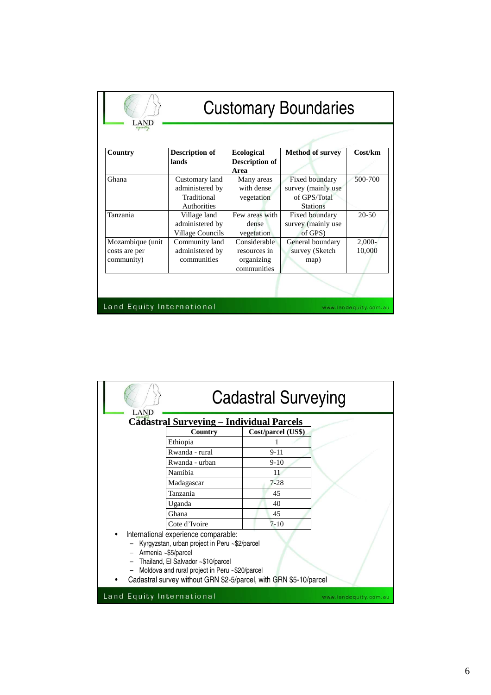| .AND                                            | <b>Customary Boundaries</b>                                            |                                                           |                                                                         |                       |  |
|-------------------------------------------------|------------------------------------------------------------------------|-----------------------------------------------------------|-------------------------------------------------------------------------|-----------------------|--|
| Country                                         | Description of                                                         | <b>Ecological</b>                                         | <b>Method of survey</b>                                                 | Cost/km               |  |
|                                                 | lands                                                                  | Description of<br>Area                                    |                                                                         |                       |  |
| Ghana                                           | Customary land<br>administered by<br>Traditional<br><b>Authorities</b> | Many areas<br>with dense<br>vegetation                    | Fixed boundary<br>survey (mainly use<br>of GPS/Total<br><b>Stations</b> | 500-700               |  |
| Tanzania                                        | Village land<br>administered by<br>Village Councils                    | Few areas with<br>dense<br>vegetation                     | Fixed boundary<br>survey (mainly use<br>of GPS)                         | $20 - 50$             |  |
| Mozambique (unit<br>costs are per<br>community) | Community land<br>administered by<br>communities                       | Considerable<br>resources in<br>organizing<br>communities | General boundary<br>survey (Sketch<br>map)                              | $2,000-$<br>10,000    |  |
|                                                 |                                                                        |                                                           |                                                                         |                       |  |
| Land Equity International                       |                                                                        |                                                           |                                                                         | www.landequity.com.au |  |

|                                                                                                                                                                                                                                                                             | <b>Cadastral Surveying</b> |                    |  |  |  |  |  |
|-----------------------------------------------------------------------------------------------------------------------------------------------------------------------------------------------------------------------------------------------------------------------------|----------------------------|--------------------|--|--|--|--|--|
| <b>Cadastral Surveying - Individual Parcels</b>                                                                                                                                                                                                                             |                            |                    |  |  |  |  |  |
|                                                                                                                                                                                                                                                                             | Country                    | Cost/parcel (US\$) |  |  |  |  |  |
|                                                                                                                                                                                                                                                                             | Ethiopia                   |                    |  |  |  |  |  |
|                                                                                                                                                                                                                                                                             | Rwanda - rural             | $9 - 11$           |  |  |  |  |  |
|                                                                                                                                                                                                                                                                             | Rwanda - urban             | $9-10$             |  |  |  |  |  |
|                                                                                                                                                                                                                                                                             | Namibia                    | 11                 |  |  |  |  |  |
|                                                                                                                                                                                                                                                                             | Madagascar                 | $7 - 28$           |  |  |  |  |  |
|                                                                                                                                                                                                                                                                             | Tanzania                   | 45                 |  |  |  |  |  |
|                                                                                                                                                                                                                                                                             | Uganda                     | 40                 |  |  |  |  |  |
|                                                                                                                                                                                                                                                                             | Ghana                      | 45                 |  |  |  |  |  |
|                                                                                                                                                                                                                                                                             | Cote d'Ivoire              | $7 - 10$           |  |  |  |  |  |
| International experience comparable:<br>Kyrgyzstan, urban project in Peru ~\$2/parcel<br>- Armenia ~\$5/parcel<br>Thailand, El Salvador ~\$10/parcel<br>Moldova and rural project in Peru ~\$20/parcel<br>Cadastral survey without GRN \$2-5/parcel, with GRN \$5-10/parcel |                            |                    |  |  |  |  |  |
| Land Equity International<br>www.landequity.com.au                                                                                                                                                                                                                          |                            |                    |  |  |  |  |  |